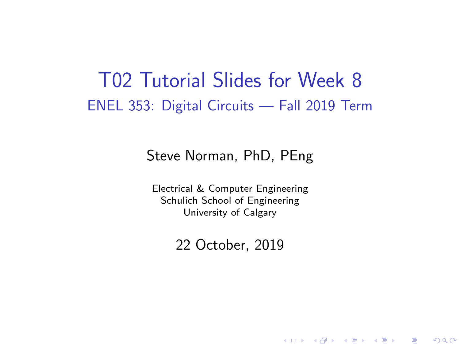### T02 Tutorial Slides for Week 8 ENEL 353: Digital Circuits — Fall 2019 Term

### Steve Norman, PhD, PEng

Electrical & Computer Engineering Schulich School of Engineering University of Calgary

22 October, 2019

《 ロ 》 《 御 》 《 君 》 《 君 》 《 君

 $\Omega$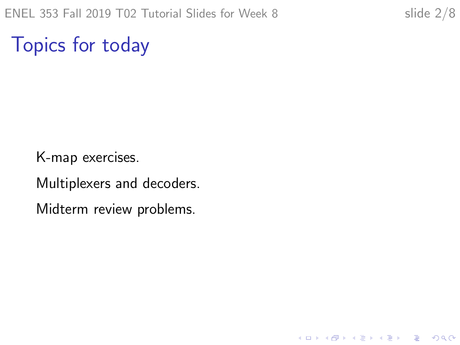K ロ ▶ K 個 ▶ K 할 ▶ K 할 ▶ 이 할 → 9 Q Q →

Topics for today

K-map exercises.

Multiplexers and decoders.

Midterm review problems.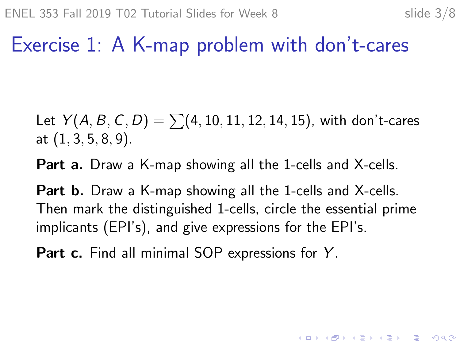## Exercise 1: A K-map problem with don't-cares

Let  $Y(A, B, C, D) = \sum (4, 10, 11, 12, 14, 15)$ , with don't-cares at  $(1, 3, 5, 8, 9)$ .

**Part a.** Draw a K-map showing all the 1-cells and X-cells.

**Part b.** Draw a K-map showing all the 1-cells and X-cells. Then mark the distinguished 1-cells, circle the essential prime implicants (EPI's), and give expressions for the EPI's.

Part c. Find all minimal SOP expressions for Y.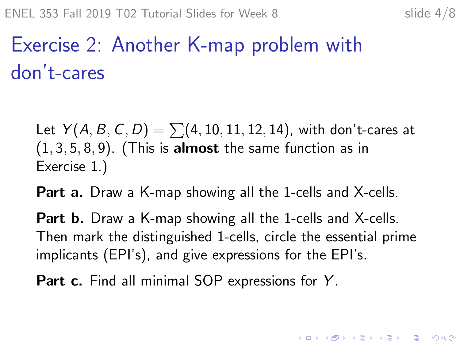4 0 > 4 4 + 4 = + 4 = + = + + 0 4 0 +

# Exercise 2: Another K-map problem with don't-cares

Let  $Y(A, B, C, D) = \sum (4, 10, 11, 12, 14)$ , with don't-cares at  $(1, 3, 5, 8, 9)$ . (This is almost the same function as in Exercise 1.)

**Part a.** Draw a K-map showing all the 1-cells and X-cells.

**Part b.** Draw a K-map showing all the 1-cells and X-cells. Then mark the distinguished 1-cells, circle the essential prime implicants (EPI's), and give expressions for the EPI's.

Part c. Find all minimal SOP expressions for Y.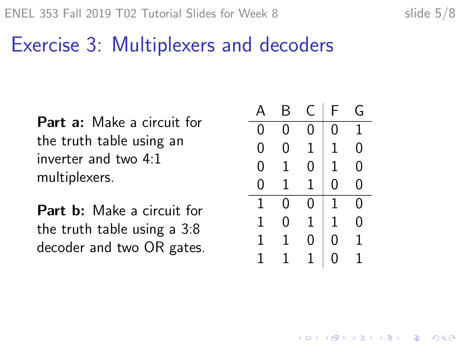### Exercise 3: Multiplexers and decoders

Part a: Make a circuit for the truth table using an inverter and two 4:1 multiplexers.

Part b: Make a circuit for the truth table using a 3:8 decoder and two OR gates.

| А | Β | C | F | G |
|---|---|---|---|---|
| 0 | 0 | 0 | 0 | 1 |
| 0 | 0 | 1 | 1 | 0 |
| 0 | 1 | 0 | 1 | 0 |
| 0 | 1 | 1 | 0 | 0 |
| 1 | 0 | 0 | 1 | 0 |
| 1 | 0 | 1 | 1 | 0 |
| 1 | 1 | 0 | N | 1 |
| 1 | 1 | 1 | 1 | 1 |

**KORK EXTERNE PROVIDE**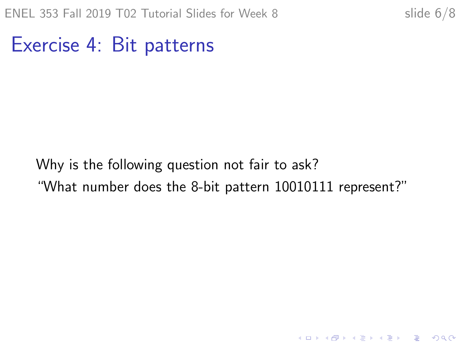K ロ ▶ K 個 ▶ K 할 ▶ K 할 ▶ 이 할 → 9 Q Q →

Exercise 4: Bit patterns

Why is the following question not fair to ask? "What number does the 8-bit pattern 10010111 represent?"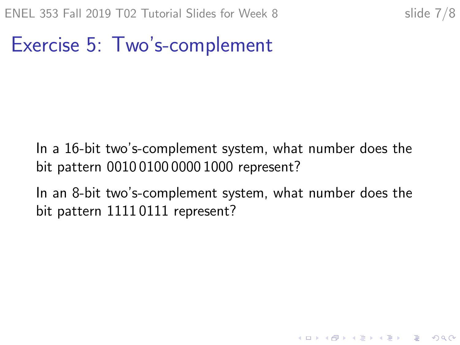### Exercise 5: Two's-complement

In a 16-bit two's-complement system, what number does the bit pattern 0010 0100 0000 1000 represent?

In an 8-bit two's-complement system, what number does the bit pattern 1111 0111 represent?